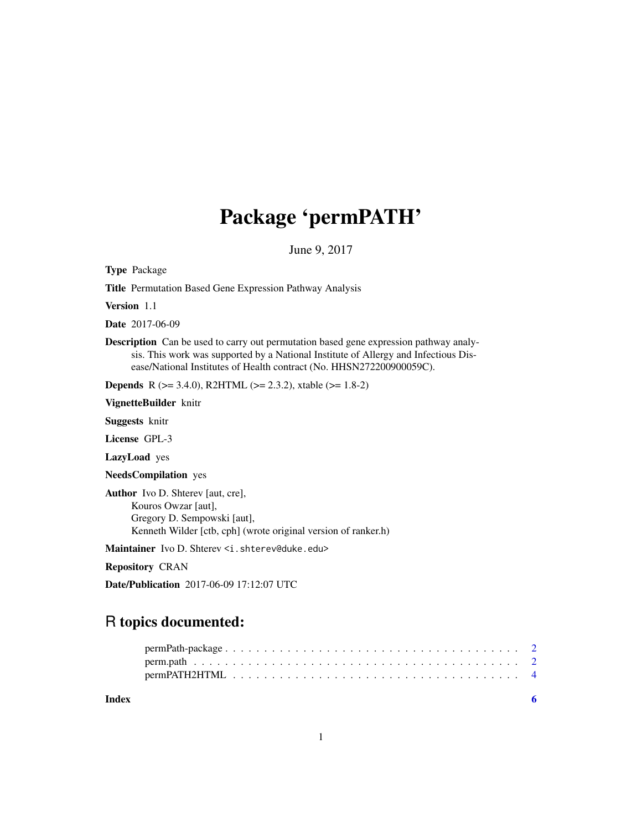## Package 'permPATH'

June 9, 2017

Type Package

Title Permutation Based Gene Expression Pathway Analysis

Version 1.1

Date 2017-06-09

Description Can be used to carry out permutation based gene expression pathway analysis. This work was supported by a National Institute of Allergy and Infectious Disease/National Institutes of Health contract (No. HHSN272200900059C).

Depends R (>= 3.4.0), R2HTML (>= 2.3.2), xtable (>= 1.8-2)

VignetteBuilder knitr

Suggests knitr

License GPL-3

LazyLoad yes

NeedsCompilation yes

Author Ivo D. Shterev [aut, cre], Kouros Owzar [aut], Gregory D. Sempowski [aut], Kenneth Wilder [ctb, cph] (wrote original version of ranker.h)

Maintainer Ivo D. Shterev <i.shterev@duke.edu>

#### Repository CRAN

Date/Publication 2017-06-09 17:12:07 UTC

### R topics documented:

| Index |  |
|-------|--|
|       |  |
|       |  |
|       |  |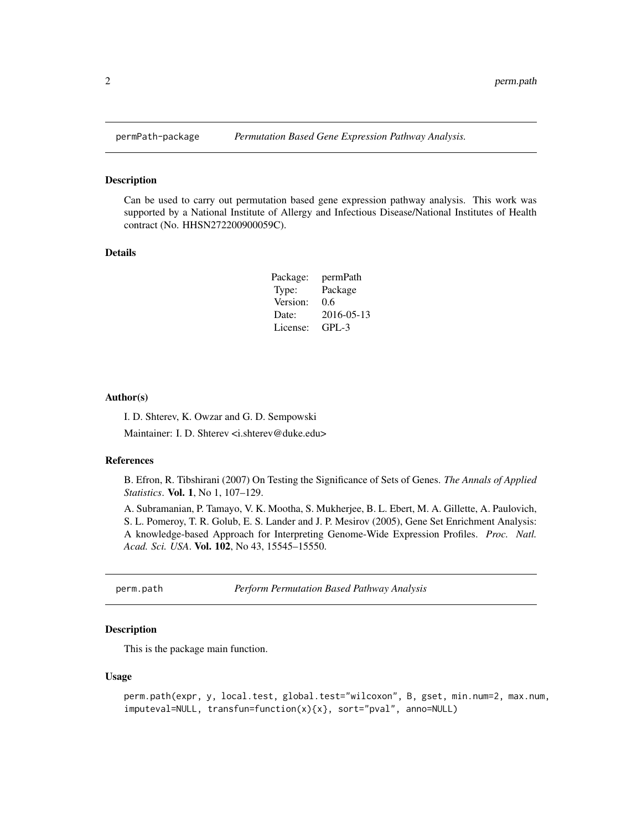<span id="page-1-0"></span>

#### Description

Can be used to carry out permutation based gene expression pathway analysis. This work was supported by a National Institute of Allergy and Infectious Disease/National Institutes of Health contract (No. HHSN272200900059C).

#### Details

| Package: | permPath   |
|----------|------------|
| Type:    | Package    |
| Version: | 0.6        |
| Date:    | 2016-05-13 |
| License: | $GPI - 3$  |

#### Author(s)

I. D. Shterev, K. Owzar and G. D. Sempowski

Maintainer: I. D. Shterev <i.shterev@duke.edu>

#### References

B. Efron, R. Tibshirani (2007) On Testing the Significance of Sets of Genes. *The Annals of Applied Statistics*. Vol. 1, No 1, 107–129.

A. Subramanian, P. Tamayo, V. K. Mootha, S. Mukherjee, B. L. Ebert, M. A. Gillette, A. Paulovich, S. L. Pomeroy, T. R. Golub, E. S. Lander and J. P. Mesirov (2005), Gene Set Enrichment Analysis: A knowledge-based Approach for Interpreting Genome-Wide Expression Profiles. *Proc. Natl. Acad. Sci. USA*. Vol. 102, No 43, 15545–15550.

perm.path *Perform Permutation Based Pathway Analysis*

#### Description

This is the package main function.

#### Usage

```
perm.path(expr, y, local.test, global.test="wilcoxon", B, gset, min.num=2, max.num,
imputeval=NULL, transfun=function(x){x}, sort="pval", anno=NULL)
```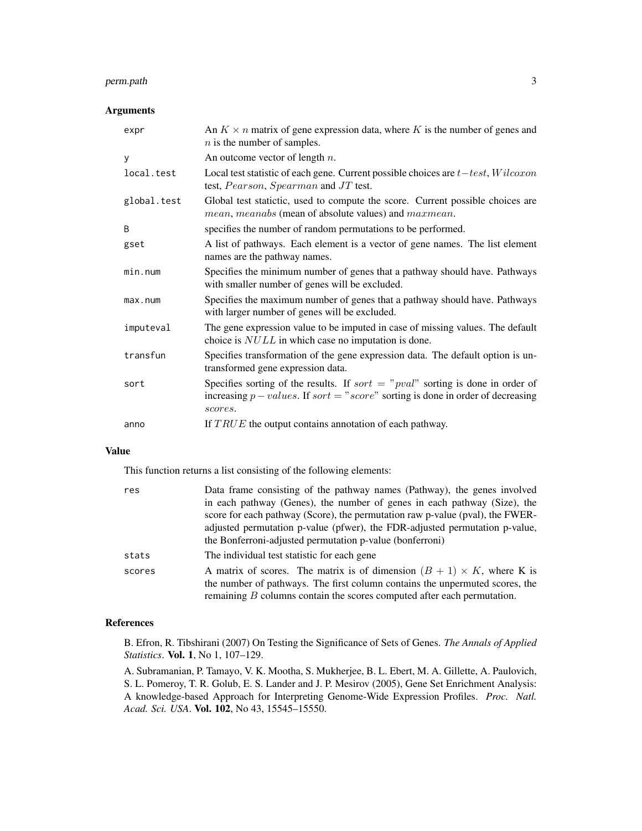#### perm.path 3

#### Arguments

| expr        | An $K \times n$ matrix of gene expression data, where K is the number of genes and<br>$n$ is the number of samples.                                                                             |
|-------------|-------------------------------------------------------------------------------------------------------------------------------------------------------------------------------------------------|
| У           | An outcome vector of length $n$ .                                                                                                                                                               |
| local.test  | Local test statistic of each gene. Current possible choices are $t-test$ , $Wilcoxon$<br>test, Pearson, Spearman and JT test.                                                                   |
| global.test | Global test statictic, used to compute the score. Current possible choices are<br>mean, meanabs (mean of absolute values) and maxmean.                                                          |
| B           | specifies the number of random permutations to be performed.                                                                                                                                    |
| gset        | A list of pathways. Each element is a vector of gene names. The list element<br>names are the pathway names.                                                                                    |
| min.num     | Specifies the minimum number of genes that a pathway should have. Pathways<br>with smaller number of genes will be excluded.                                                                    |
| max.num     | Specifies the maximum number of genes that a pathway should have. Pathways<br>with larger number of genes will be excluded.                                                                     |
| imputeval   | The gene expression value to be imputed in case of missing values. The default<br>choice is $NULL$ in which case no imputation is done.                                                         |
| transfun    | Specifies transformation of the gene expression data. The default option is un-<br>transformed gene expression data.                                                                            |
| sort        | Specifies sorting of the results. If <i>sort</i> = " <i>pval</i> " sorting is done in order of<br>increasing $p-values$ . If $sort = "score"$ sorting is done in order of decreasing<br>scores. |
| anno        | If $TRUE$ the output contains annotation of each pathway.                                                                                                                                       |

#### Value

This function returns a list consisting of the following elements:

| res    | Data frame consisting of the pathway names (Pathway), the genes involved       |
|--------|--------------------------------------------------------------------------------|
|        | in each pathway (Genes), the number of genes in each pathway (Size), the       |
|        | score for each pathway (Score), the permutation raw p-value (pval), the FWER-  |
|        | adjusted permutation p-value (pfwer), the FDR-adjusted permutation p-value,    |
|        | the Bonferroni-adjusted permutation p-value (bonferroni)                       |
| stats  | The individual test statistic for each gene.                                   |
| scores | A matrix of scores. The matrix is of dimension $(B + 1) \times K$ , where K is |
|        | the number of pathways. The first column contains the unpermuted scores, the   |
|        | remaining $B$ columns contain the scores computed after each permutation.      |

#### References

B. Efron, R. Tibshirani (2007) On Testing the Significance of Sets of Genes. *The Annals of Applied Statistics*. Vol. 1, No 1, 107–129.

A. Subramanian, P. Tamayo, V. K. Mootha, S. Mukherjee, B. L. Ebert, M. A. Gillette, A. Paulovich, S. L. Pomeroy, T. R. Golub, E. S. Lander and J. P. Mesirov (2005), Gene Set Enrichment Analysis: A knowledge-based Approach for Interpreting Genome-Wide Expression Profiles. *Proc. Natl. Acad. Sci. USA*. Vol. 102, No 43, 15545–15550.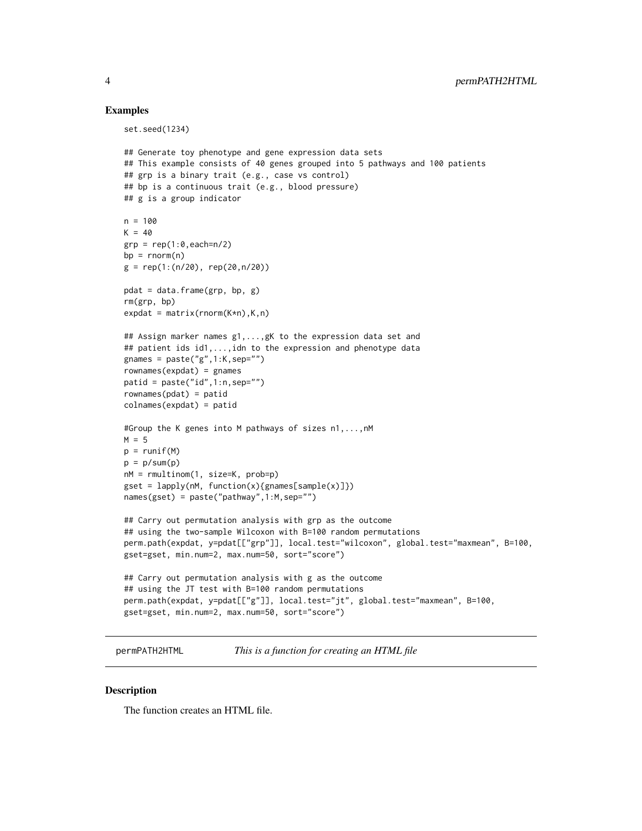#### Examples

```
set.seed(1234)
```

```
## Generate toy phenotype and gene expression data sets
## This example consists of 40 genes grouped into 5 pathways and 100 patients
## grp is a binary trait (e.g., case vs control)
## bp is a continuous trait (e.g., blood pressure)
## g is a group indicator
n = 100
K = 40grp = rep(1:0, each=n/2)bp = rnorm(n)g = rep(1:(n/20), rep(20, n/20))pdat = data.frame(grp, bp, g)rm(grp, bp)
explot = matrix(rnorm(K*n), K, n)## Assign marker names g1,...,gK to the expression data set and
## patient ids id1,...,idn to the expression and phenotype data
gnames = paste("g", 1:K, sep="")rownames(expdat) = gnames
pati d = paste("id", 1:n, sep="")rownames(pdat) = patid
colnames(expdat) = patid
#Group the K genes into M pathways of sizes n1,...,nM
M = 5p = runif(M)p = p/sum(p)nM = rmultinom(1, size=K, prob=p)
gset = lapply(nM, function(x){gnames[sample(x)]})
names(gset) = paste("pathway",1:M,sep="")
## Carry out permutation analysis with grp as the outcome
## using the two-sample Wilcoxon with B=100 random permutations
perm.path(expdat, y=pdat[["grp"]], local.test="wilcoxon", global.test="maxmean", B=100,
gset=gset, min.num=2, max.num=50, sort="score")
## Carry out permutation analysis with g as the outcome
## using the JT test with B=100 random permutations
perm.path(expdat, y=pdat[["g"]], local.test="jt", global.test="maxmean", B=100,
gset=gset, min.num=2, max.num=50, sort="score")
```
permPATH2HTML *This is a function for creating an HTML file*

#### **Description**

The function creates an HTML file.

<span id="page-3-0"></span>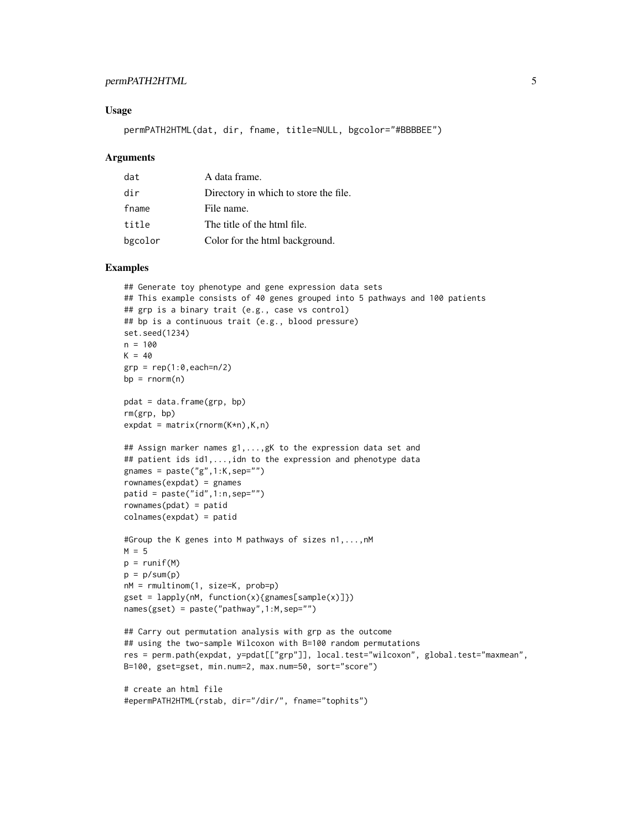#### permPATH2HTML 5

#### Usage

permPATH2HTML(dat, dir, fname, title=NULL, bgcolor="#BBBBEE")

#### Arguments

| dat     | A data frame.                         |
|---------|---------------------------------------|
| dir     | Directory in which to store the file. |
| fname   | File name.                            |
| title   | The title of the html file.           |
| bgcolor | Color for the html background.        |

#### Examples

```
## Generate toy phenotype and gene expression data sets
## This example consists of 40 genes grouped into 5 pathways and 100 patients
## grp is a binary trait (e.g., case vs control)
## bp is a continuous trait (e.g., blood pressure)
set.seed(1234)
n = 100K = 40grp = rep(1:0, each=n/2)bp = rnorm(n)pdat = data.frame(grp, bp)
rm(grp, bp)
expdat = matrix(rnorm(K*n),K,n)
## Assign marker names g1,...,gK to the expression data set and
## patient ids id1,...,idn to the expression and phenotype data
gnames = paste("g", 1:K, sep="")rownames(expdat) = gnames
pati d = paste("id", 1:n, sep="")rownames(pdat) = patid
colnames(expdat) = patid
#Group the K genes into M pathways of sizes n1,...,nM
M = 5p = runif(M)p = p/sum(p)nM = rmultinom(1, size=K, prob=p)
gset = \text{lapply}(nM, function(x)\{gnames[sample(x)]\})names(gset) = paste("pathway",1:M,sep="")
## Carry out permutation analysis with grp as the outcome
## using the two-sample Wilcoxon with B=100 random permutations
res = perm.path(expdat, y=pdat[["grp"]], local.test="wilcoxon", global.test="maxmean",
B=100, gset=gset, min.num=2, max.num=50, sort="score")
# create an html file
```

```
#epermPATH2HTML(rstab, dir="/dir/", fname="tophits")
```